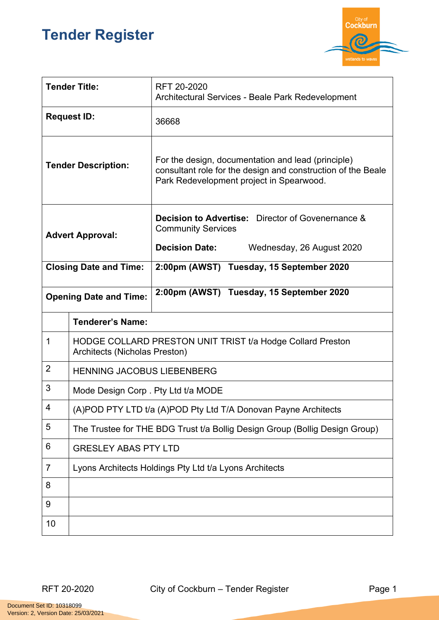## **Tender Register**



| <b>Tender Title:</b>          |                                                                                             | RFT 20-2020<br>Architectural Services - Beale Park Redevelopment                                                                                               |  |
|-------------------------------|---------------------------------------------------------------------------------------------|----------------------------------------------------------------------------------------------------------------------------------------------------------------|--|
| <b>Request ID:</b>            |                                                                                             | 36668                                                                                                                                                          |  |
| <b>Tender Description:</b>    |                                                                                             | For the design, documentation and lead (principle)<br>consultant role for the design and construction of the Beale<br>Park Redevelopment project in Spearwood. |  |
| <b>Advert Approval:</b>       |                                                                                             | <b>Decision to Advertise:</b> Director of Govenernance &<br><b>Community Services</b><br><b>Decision Date:</b><br>Wednesday, 26 August 2020                    |  |
| <b>Closing Date and Time:</b> |                                                                                             | 2:00pm (AWST) Tuesday, 15 September 2020                                                                                                                       |  |
| <b>Opening Date and Time:</b> |                                                                                             | 2:00pm (AWST) Tuesday, 15 September 2020                                                                                                                       |  |
|                               | <b>Tenderer's Name:</b>                                                                     |                                                                                                                                                                |  |
| 1                             | HODGE COLLARD PRESTON UNIT TRIST t/a Hodge Collard Preston<br>Architects (Nicholas Preston) |                                                                                                                                                                |  |
| $\overline{2}$                | <b>HENNING JACOBUS LIEBENBERG</b>                                                           |                                                                                                                                                                |  |
| 3                             | Mode Design Corp. Pty Ltd t/a MODE                                                          |                                                                                                                                                                |  |
| 4                             | (A)POD PTY LTD t/a (A)POD Pty Ltd T/A Donovan Payne Architects                              |                                                                                                                                                                |  |
| 5                             | The Trustee for THE BDG Trust t/a Bollig Design Group (Bollig Design Group)                 |                                                                                                                                                                |  |
| 6                             | <b>GRESLEY ABAS PTY LTD</b>                                                                 |                                                                                                                                                                |  |
| 7                             | Lyons Architects Holdings Pty Ltd t/a Lyons Architects                                      |                                                                                                                                                                |  |
| 8                             |                                                                                             |                                                                                                                                                                |  |
| 9                             |                                                                                             |                                                                                                                                                                |  |
| 10                            |                                                                                             |                                                                                                                                                                |  |